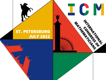## ST. PETERSBURG JULY 2022



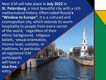Next ICM will take place in **July 2022** in **St. Petersburg**, a most beautiful city with a rich mathematical history. Often called Russia'**s**  "Window to Europe", it is a cultured and cosmopolitan city, which extends its warm hospitality to people from every corner of the world, regardless of their ethnic background, religious beliefs, sexual orientation, income level, customs, or traditions. In particular, all registered ICM participants will have a **visa-free** entry.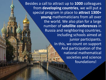Besides a call to attract up to **1000** colleagues from **developing countries**, we will put a special program in place to **attract 1300+ young** mathematicians from all over the world. We also plan for a large number of **satellite conferences** in Russia and neighboring countries, including schools aimed at junior participants. In this, we count on support And participation of the national mathematical societies and science foundations!